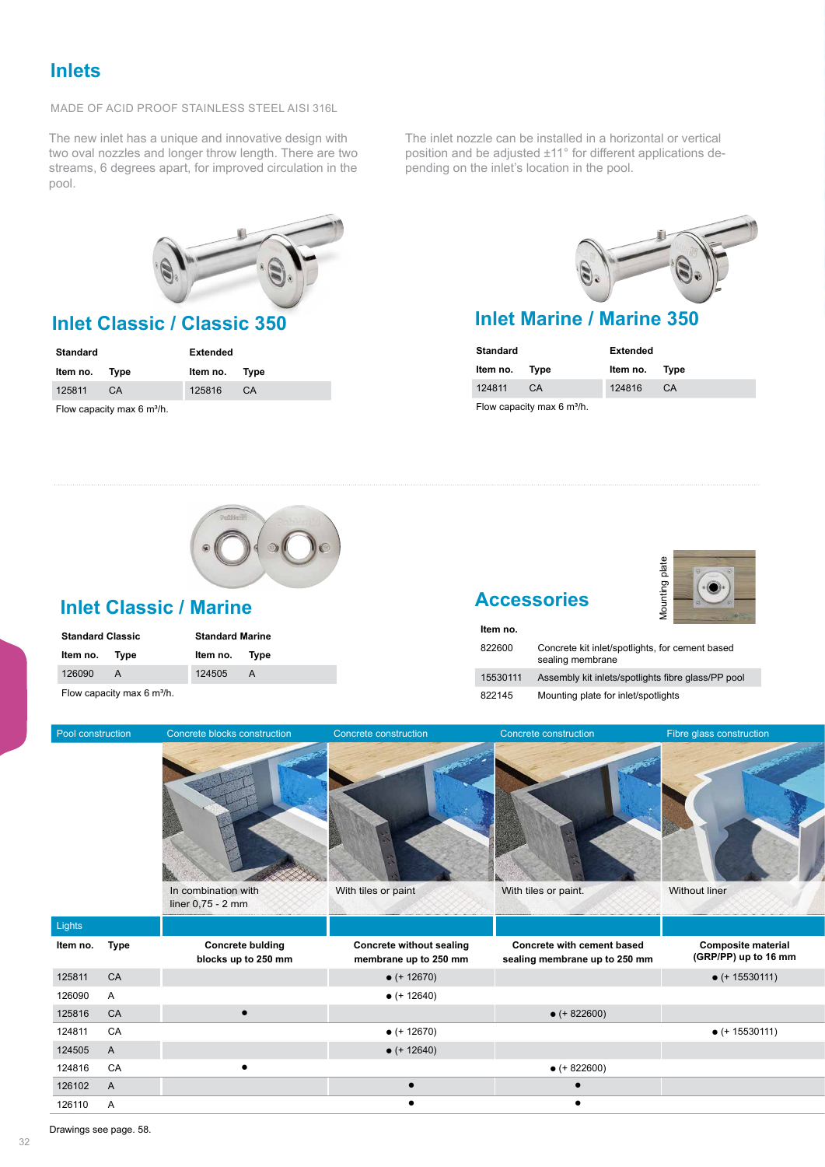MADE OF ACID PROOF STAINLESS STEEL AISI 316L

The new inlet has a unique and innovative design with two oval nozzles and longer throw length. There are two streams, 6 degrees apart, for improved circulation in the pool.



| <b>Standard</b>                              |     | <b>Extended</b> |    |  |
|----------------------------------------------|-----|-----------------|----|--|
| Item no. Type                                |     | Item no. Type   |    |  |
| 125811                                       | CA. | 125816          | CA |  |
| Flow capacity max $6 \text{ m}^3/\text{h}$ . |     |                 |    |  |

The inlet nozzle can be installed in a horizontal or vertical position and be adjusted ±11° for different applications depending on the inlet's location in the pool.



# **Inlet Classic / Classic 350 Inlet Marine / Marine 350**

| <b>Standard</b>                       |    | <b>Extended</b> |    |  |
|---------------------------------------|----|-----------------|----|--|
| Item no. Type                         |    | Item no. Type   |    |  |
| 124811                                | CA | 124816          | CA |  |
| Flow capacity max $6 \text{ m}^3/h$ . |    |                 |    |  |

#### **Inlet Classic / Marine**

| <b>Standard Classic</b> |   | <b>Standard Marine</b> |   |  |
|-------------------------|---|------------------------|---|--|
| Item no. Type           |   | Item no. Type          |   |  |
| 126090                  | A | 124505                 | A |  |
|                         |   |                        |   |  |

Flow capacity max  $6 \text{ m}^3$ /h.

# **Accessories**

**Item no.**



| 822600   | Concrete kit inlet/spotlights, for cement based<br>sealing membrane |
|----------|---------------------------------------------------------------------|
| 15530111 | Assembly kit inlets/spotlights fibre glass/PP pool                  |
| 822145   | Mounting plate for inlet/spotlights                                 |

| Pool construction        | Concrete blocks construction                   | Concrete construction                                    | Concrete construction                                              | Fibre glass construction                          |
|--------------------------|------------------------------------------------|----------------------------------------------------------|--------------------------------------------------------------------|---------------------------------------------------|
|                          | In combination with<br>liner 0,75 - 2 mm       | With tiles or paint                                      | With tiles or paint.                                               | Without liner                                     |
| Lights                   |                                                |                                                          |                                                                    |                                                   |
| Item no. Type            | <b>Concrete bulding</b><br>blocks up to 250 mm | <b>Concrete without sealing</b><br>membrane up to 250 mm | <b>Concrete with cement based</b><br>sealing membrane up to 250 mm | <b>Composite material</b><br>(GRP/PP) up to 16 mm |
| 125811<br>CA             |                                                | $\bullet$ (+ 12670)                                      |                                                                    | $\bullet$ (+ 15530111)                            |
| 126090<br>A              |                                                | $\bullet$ (+ 12640)                                      |                                                                    |                                                   |
| 125816<br>CA             | $\bullet$                                      |                                                          | $\bullet$ (+ 822600)                                               |                                                   |
| CA<br>124811             |                                                | $\bullet$ (+ 12670)                                      |                                                                    | $\bullet$ (+ 15530111)                            |
| 124505<br>$\overline{A}$ |                                                | $\bullet$ (+ 12640)                                      |                                                                    |                                                   |
| 124816 CA                |                                                |                                                          | $\bullet$ (+ 822600)                                               |                                                   |
| 126102<br>$\overline{A}$ |                                                | $\bullet$                                                | $\bullet$                                                          |                                                   |
| 126110 A                 |                                                | $\bullet$                                                |                                                                    |                                                   |